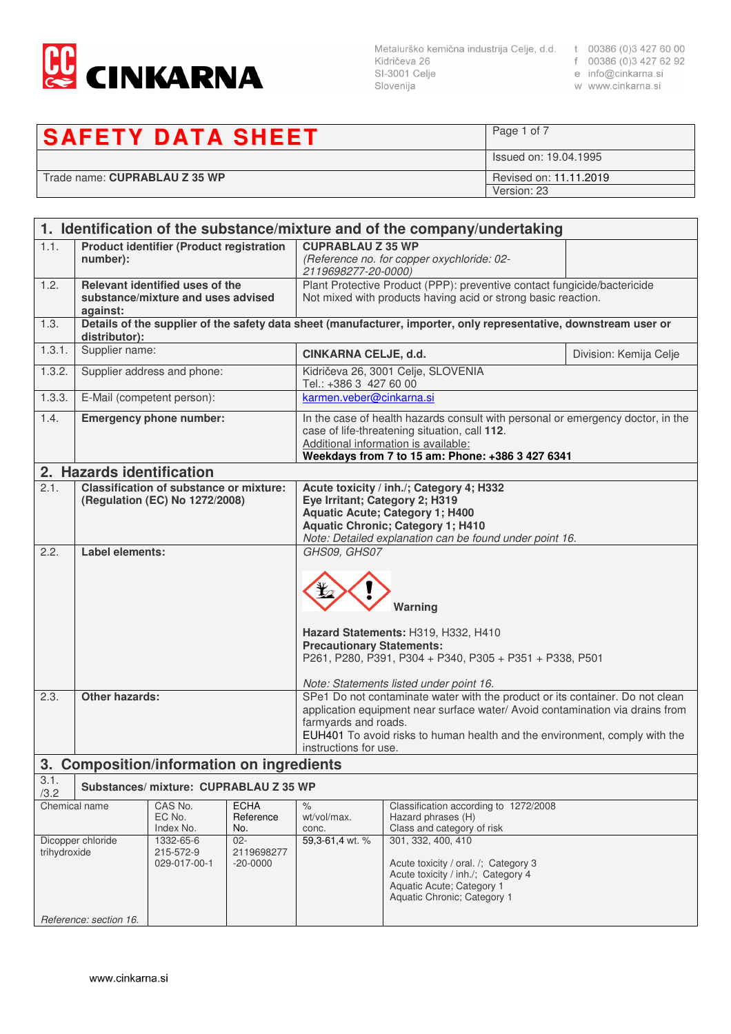

Slovenija

- 
- 
- w www.cinkarna.si

## **SAFETY DATA SHEET**

Page 1 of 7 Issued on: 19.04.1995 Trade name: **CUPRABLAU Z 35 WP** Revised on: 11.11.2019 Version: 23

| 1. Identification of the substance/mixture and of the company/undertaking                                                                     |                                                                                   |                                           |                                                                                                                                                                                                                              |                                                                                                                                                                                                                                              |                                                                                                                   |                        |
|-----------------------------------------------------------------------------------------------------------------------------------------------|-----------------------------------------------------------------------------------|-------------------------------------------|------------------------------------------------------------------------------------------------------------------------------------------------------------------------------------------------------------------------------|----------------------------------------------------------------------------------------------------------------------------------------------------------------------------------------------------------------------------------------------|-------------------------------------------------------------------------------------------------------------------|------------------------|
| 1.1.                                                                                                                                          | <b>Product identifier (Product registration</b><br>number):                       |                                           | <b>CUPRABLAU Z 35 WP</b><br>2119698277-20-0000)                                                                                                                                                                              | (Reference no. for copper oxychloride: 02-                                                                                                                                                                                                   |                                                                                                                   |                        |
| 1.2.                                                                                                                                          | Relevant identified uses of the<br>substance/mixture and uses advised<br>against: |                                           |                                                                                                                                                                                                                              | Plant Protective Product (PPP): preventive contact fungicide/bactericide<br>Not mixed with products having acid or strong basic reaction.                                                                                                    |                                                                                                                   |                        |
| 1.3.                                                                                                                                          | distributor):                                                                     |                                           |                                                                                                                                                                                                                              |                                                                                                                                                                                                                                              | Details of the supplier of the safety data sheet (manufacturer, importer, only representative, downstream user or |                        |
| 1.3.1.                                                                                                                                        | Supplier name:                                                                    |                                           |                                                                                                                                                                                                                              | CINKARNA CELJE, d.d.                                                                                                                                                                                                                         |                                                                                                                   | Division: Kemija Celje |
| 1.3.2.                                                                                                                                        |                                                                                   | Supplier address and phone:               |                                                                                                                                                                                                                              |                                                                                                                                                                                                                                              | Kidričeva 26, 3001 Celje, SLOVENIA<br>Tel.: +386 3 427 60 00                                                      |                        |
| 1.3.3.                                                                                                                                        |                                                                                   | E-Mail (competent person):                |                                                                                                                                                                                                                              |                                                                                                                                                                                                                                              | karmen.veber@cinkarna.si                                                                                          |                        |
| 1.4.                                                                                                                                          | <b>Emergency phone number:</b>                                                    |                                           | In the case of health hazards consult with personal or emergency doctor, in the<br>case of life-threatening situation, call 112.<br>Additional information is available:<br>Weekdays from 7 to 15 am: Phone: +386 3 427 6341 |                                                                                                                                                                                                                                              |                                                                                                                   |                        |
|                                                                                                                                               | 2. Hazards identification                                                         |                                           |                                                                                                                                                                                                                              |                                                                                                                                                                                                                                              |                                                                                                                   |                        |
| 2.1.                                                                                                                                          | <b>Classification of substance or mixture:</b><br>(Regulation (EC) No 1272/2008)  |                                           | Acute toxicity / inh./; Category 4; H332<br>Eye Irritant; Category 2; H319<br><b>Aquatic Acute; Category 1; H400</b><br><b>Aquatic Chronic; Category 1; H410</b><br>Note: Detailed explanation can be found under point 16.  |                                                                                                                                                                                                                                              |                                                                                                                   |                        |
|                                                                                                                                               |                                                                                   |                                           | Warning<br>Hazard Statements: H319, H332, H410<br><b>Precautionary Statements:</b><br>P261, P280, P391, P304 + P340, P305 + P351 + P338, P501<br>Note: Statements listed under point 16.                                     |                                                                                                                                                                                                                                              |                                                                                                                   |                        |
| 2.3.                                                                                                                                          | <b>Other hazards:</b>                                                             |                                           | farmyards and roads.<br>instructions for use.                                                                                                                                                                                | SPe1 Do not contaminate water with the product or its container. Do not clean<br>application equipment near surface water/ Avoid contamination via drains from<br>EUH401 To avoid risks to human health and the environment, comply with the |                                                                                                                   |                        |
|                                                                                                                                               |                                                                                   | 3. Composition/information on ingredients |                                                                                                                                                                                                                              |                                                                                                                                                                                                                                              |                                                                                                                   |                        |
| 3.1.<br>/3.2                                                                                                                                  |                                                                                   | Substances/mixture: CUPRABLAU Z 35 WP     |                                                                                                                                                                                                                              |                                                                                                                                                                                                                                              |                                                                                                                   |                        |
| CAS No.<br><b>ECHA</b><br>Chemical name<br>EC No.<br>Reference<br>Index No.<br>No.                                                            |                                                                                   | $\%$<br>wt/vol/max.<br>conc.              | Classification according to 1272/2008<br>Hazard phrases (H)<br>Class and category of risk                                                                                                                                    |                                                                                                                                                                                                                                              |                                                                                                                   |                        |
| Dicopper chloride<br>1332-65-6<br>$02 -$<br>trihydroxide<br>215-572-9<br>2119698277<br>029-017-00-1<br>$-20 - 0000$<br>Reference: section 16. |                                                                                   | 59,3-61,4 wt. %                           | 301, 332, 400, 410<br>Acute toxicity / oral. /; Category 3<br>Acute toxicity / inh./; Category 4<br>Aquatic Acute; Category 1<br>Aquatic Chronic; Category 1                                                                 |                                                                                                                                                                                                                                              |                                                                                                                   |                        |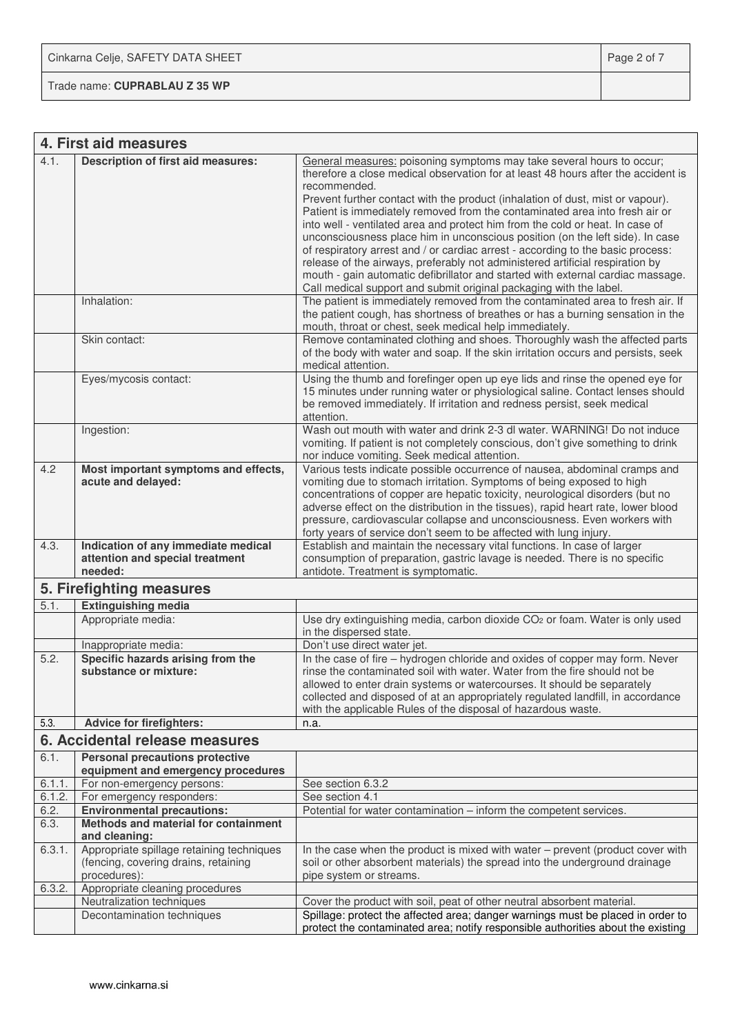Trade name: **CUPRABLAU Z 35 WP**

|              | 4. First aid measures                                                                             |                                                                                                                                                                                                                                                                                                                                                                                                                                                                                                                                                                                                                                                                                                                                                                                                                                                                                                                              |
|--------------|---------------------------------------------------------------------------------------------------|------------------------------------------------------------------------------------------------------------------------------------------------------------------------------------------------------------------------------------------------------------------------------------------------------------------------------------------------------------------------------------------------------------------------------------------------------------------------------------------------------------------------------------------------------------------------------------------------------------------------------------------------------------------------------------------------------------------------------------------------------------------------------------------------------------------------------------------------------------------------------------------------------------------------------|
| 4.1.         | <b>Description of first aid measures:</b><br>Inhalation:                                          | General measures: poisoning symptoms may take several hours to occur;<br>therefore a close medical observation for at least 48 hours after the accident is<br>recommended.<br>Prevent further contact with the product (inhalation of dust, mist or vapour).<br>Patient is immediately removed from the contaminated area into fresh air or<br>into well - ventilated area and protect him from the cold or heat. In case of<br>unconsciousness place him in unconscious position (on the left side). In case<br>of respiratory arrest and / or cardiac arrest - according to the basic process:<br>release of the airways, preferably not administered artificial respiration by<br>mouth - gain automatic defibrillator and started with external cardiac massage.<br>Call medical support and submit original packaging with the label.<br>The patient is immediately removed from the contaminated area to fresh air. If |
|              |                                                                                                   | the patient cough, has shortness of breathes or has a burning sensation in the<br>mouth, throat or chest, seek medical help immediately.                                                                                                                                                                                                                                                                                                                                                                                                                                                                                                                                                                                                                                                                                                                                                                                     |
|              | Skin contact:                                                                                     | Remove contaminated clothing and shoes. Thoroughly wash the affected parts<br>of the body with water and soap. If the skin irritation occurs and persists, seek<br>medical attention.                                                                                                                                                                                                                                                                                                                                                                                                                                                                                                                                                                                                                                                                                                                                        |
|              | Eyes/mycosis contact:                                                                             | Using the thumb and forefinger open up eye lids and rinse the opened eye for<br>15 minutes under running water or physiological saline. Contact lenses should<br>be removed immediately. If irritation and redness persist, seek medical<br>attention.                                                                                                                                                                                                                                                                                                                                                                                                                                                                                                                                                                                                                                                                       |
|              | Ingestion:                                                                                        | Wash out mouth with water and drink 2-3 dl water. WARNING! Do not induce<br>vomiting. If patient is not completely conscious, don't give something to drink<br>nor induce vomiting. Seek medical attention.                                                                                                                                                                                                                                                                                                                                                                                                                                                                                                                                                                                                                                                                                                                  |
| 4.2          | Most important symptoms and effects,<br>acute and delayed:                                        | Various tests indicate possible occurrence of nausea, abdominal cramps and<br>vomiting due to stomach irritation. Symptoms of being exposed to high<br>concentrations of copper are hepatic toxicity, neurological disorders (but no<br>adverse effect on the distribution in the tissues), rapid heart rate, lower blood<br>pressure, cardiovascular collapse and unconsciousness. Even workers with<br>forty years of service don't seem to be affected with lung injury.                                                                                                                                                                                                                                                                                                                                                                                                                                                  |
| 4.3.         | Indication of any immediate medical<br>attention and special treatment<br>needed:                 | Establish and maintain the necessary vital functions. In case of larger<br>consumption of preparation, gastric lavage is needed. There is no specific<br>antidote. Treatment is symptomatic.                                                                                                                                                                                                                                                                                                                                                                                                                                                                                                                                                                                                                                                                                                                                 |
|              | 5. Firefighting measures                                                                          |                                                                                                                                                                                                                                                                                                                                                                                                                                                                                                                                                                                                                                                                                                                                                                                                                                                                                                                              |
| 5.1.         | <b>Extinguishing media</b>                                                                        |                                                                                                                                                                                                                                                                                                                                                                                                                                                                                                                                                                                                                                                                                                                                                                                                                                                                                                                              |
|              | Appropriate media:                                                                                | Use dry extinguishing media, carbon dioxide CO <sub>2</sub> or foam. Water is only used<br>in the dispersed state.                                                                                                                                                                                                                                                                                                                                                                                                                                                                                                                                                                                                                                                                                                                                                                                                           |
| 5.2.         | Inappropriate media:<br>Specific hazards arising from the<br>substance or mixture:                | Don't use direct water jet.<br>In the case of fire - hydrogen chloride and oxides of copper may form. Never<br>rinse the contaminated soil with water. Water from the fire should not be<br>allowed to enter drain systems or watercourses. It should be separately<br>collected and disposed of at an appropriately regulated landfill, in accordance<br>with the applicable Rules of the disposal of hazardous waste.                                                                                                                                                                                                                                                                                                                                                                                                                                                                                                      |
| 5.3.         | <b>Advice for firefighters:</b>                                                                   | n.a.                                                                                                                                                                                                                                                                                                                                                                                                                                                                                                                                                                                                                                                                                                                                                                                                                                                                                                                         |
|              | 6. Accidental release measures                                                                    |                                                                                                                                                                                                                                                                                                                                                                                                                                                                                                                                                                                                                                                                                                                                                                                                                                                                                                                              |
| 6.1.         | <b>Personal precautions protective</b><br>equipment and emergency procedures                      |                                                                                                                                                                                                                                                                                                                                                                                                                                                                                                                                                                                                                                                                                                                                                                                                                                                                                                                              |
| 6.1.1.       | For non-emergency persons:                                                                        | See section 6.3.2                                                                                                                                                                                                                                                                                                                                                                                                                                                                                                                                                                                                                                                                                                                                                                                                                                                                                                            |
| 6.1.2.       | For emergency responders:                                                                         | See section 4.1                                                                                                                                                                                                                                                                                                                                                                                                                                                                                                                                                                                                                                                                                                                                                                                                                                                                                                              |
| 6.2.<br>6.3. | <b>Environmental precautions:</b><br>Methods and material for containment<br>and cleaning:        | Potential for water contamination – inform the competent services.                                                                                                                                                                                                                                                                                                                                                                                                                                                                                                                                                                                                                                                                                                                                                                                                                                                           |
| 6.3.1.       | Appropriate spillage retaining techniques<br>(fencing, covering drains, retaining<br>procedures): | In the case when the product is mixed with water - prevent (product cover with<br>soil or other absorbent materials) the spread into the underground drainage<br>pipe system or streams.                                                                                                                                                                                                                                                                                                                                                                                                                                                                                                                                                                                                                                                                                                                                     |
| 6.3.2.       | Appropriate cleaning procedures                                                                   |                                                                                                                                                                                                                                                                                                                                                                                                                                                                                                                                                                                                                                                                                                                                                                                                                                                                                                                              |
|              | Neutralization techniques<br>Decontamination techniques                                           | Cover the product with soil, peat of other neutral absorbent material.<br>Spillage: protect the affected area; danger warnings must be placed in order to<br>protect the contaminated area; notify responsible authorities about the existing                                                                                                                                                                                                                                                                                                                                                                                                                                                                                                                                                                                                                                                                                |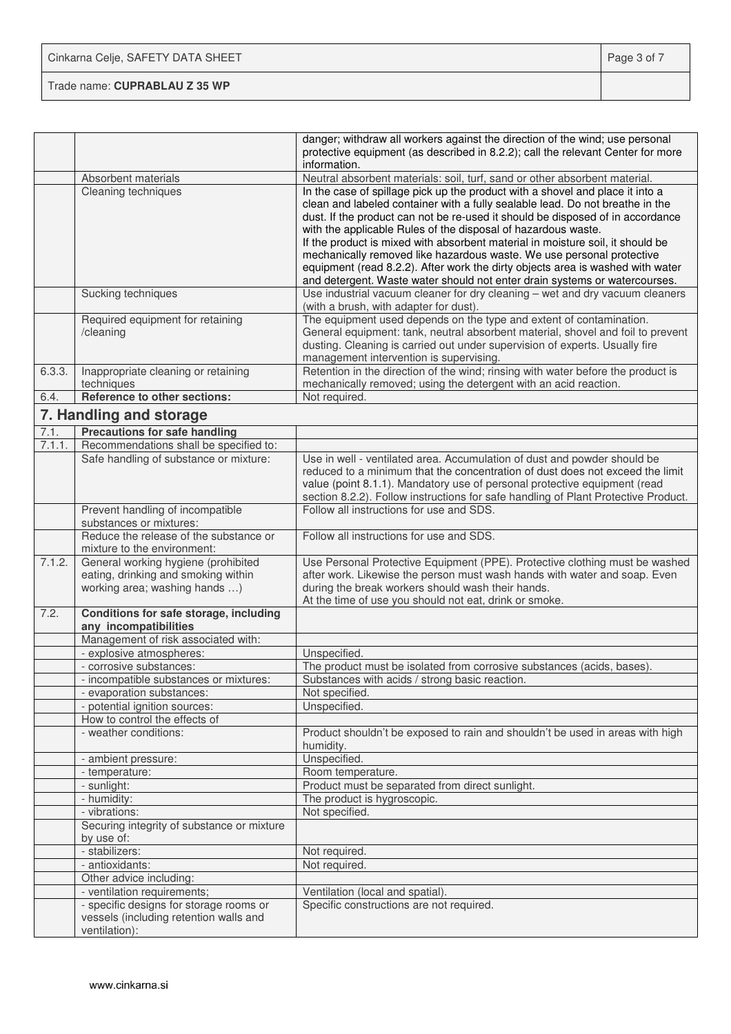| Cinkarna Celje, SAFETY DATA SHEET | Page 3 of 7 |
|-----------------------------------|-------------|
| Trade name: CUPRABLAU Z 35 WP     |             |

|        |                                                                                                             | danger; withdraw all workers against the direction of the wind; use personal<br>protective equipment (as described in 8.2.2); call the relevant Center for more                                                                                                                                                                                                                                                                                                                                                                                                                                                                              |
|--------|-------------------------------------------------------------------------------------------------------------|----------------------------------------------------------------------------------------------------------------------------------------------------------------------------------------------------------------------------------------------------------------------------------------------------------------------------------------------------------------------------------------------------------------------------------------------------------------------------------------------------------------------------------------------------------------------------------------------------------------------------------------------|
|        |                                                                                                             | information.                                                                                                                                                                                                                                                                                                                                                                                                                                                                                                                                                                                                                                 |
|        | Absorbent materials                                                                                         | Neutral absorbent materials: soil, turf, sand or other absorbent material.                                                                                                                                                                                                                                                                                                                                                                                                                                                                                                                                                                   |
|        | Cleaning techniques                                                                                         | In the case of spillage pick up the product with a shovel and place it into a<br>clean and labeled container with a fully sealable lead. Do not breathe in the<br>dust. If the product can not be re-used it should be disposed of in accordance<br>with the applicable Rules of the disposal of hazardous waste.<br>If the product is mixed with absorbent material in moisture soil, it should be<br>mechanically removed like hazardous waste. We use personal protective<br>equipment (read 8.2.2). After work the dirty objects area is washed with water<br>and detergent. Waste water should not enter drain systems or watercourses. |
|        | Sucking techniques                                                                                          | Use industrial vacuum cleaner for dry cleaning - wet and dry vacuum cleaners<br>(with a brush, with adapter for dust).                                                                                                                                                                                                                                                                                                                                                                                                                                                                                                                       |
|        | Required equipment for retaining<br>/cleaning                                                               | The equipment used depends on the type and extent of contamination.<br>General equipment: tank, neutral absorbent material, shovel and foil to prevent<br>dusting. Cleaning is carried out under supervision of experts. Usually fire<br>management intervention is supervising.                                                                                                                                                                                                                                                                                                                                                             |
| 6.3.3. | Inappropriate cleaning or retaining<br>techniques                                                           | Retention in the direction of the wind; rinsing with water before the product is<br>mechanically removed; using the detergent with an acid reaction.                                                                                                                                                                                                                                                                                                                                                                                                                                                                                         |
| 6.4.   | Reference to other sections:                                                                                | Not required.                                                                                                                                                                                                                                                                                                                                                                                                                                                                                                                                                                                                                                |
|        | 7. Handling and storage                                                                                     |                                                                                                                                                                                                                                                                                                                                                                                                                                                                                                                                                                                                                                              |
| 7.1.   | <b>Precautions for safe handling</b>                                                                        |                                                                                                                                                                                                                                                                                                                                                                                                                                                                                                                                                                                                                                              |
| 7.1.1. | Recommendations shall be specified to:                                                                      |                                                                                                                                                                                                                                                                                                                                                                                                                                                                                                                                                                                                                                              |
|        | Safe handling of substance or mixture:                                                                      | Use in well - ventilated area. Accumulation of dust and powder should be<br>reduced to a minimum that the concentration of dust does not exceed the limit<br>value (point 8.1.1). Mandatory use of personal protective equipment (read<br>section 8.2.2). Follow instructions for safe handling of Plant Protective Product.                                                                                                                                                                                                                                                                                                                 |
|        | Prevent handling of incompatible<br>substances or mixtures:                                                 | Follow all instructions for use and SDS.                                                                                                                                                                                                                                                                                                                                                                                                                                                                                                                                                                                                     |
|        | Reduce the release of the substance or<br>mixture to the environment:                                       | Follow all instructions for use and SDS.                                                                                                                                                                                                                                                                                                                                                                                                                                                                                                                                                                                                     |
| 7.1.2. | General working hygiene (prohibited<br>eating, drinking and smoking within<br>working area; washing hands ) | Use Personal Protective Equipment (PPE). Protective clothing must be washed<br>after work. Likewise the person must wash hands with water and soap. Even<br>during the break workers should wash their hands.<br>At the time of use you should not eat, drink or smoke.                                                                                                                                                                                                                                                                                                                                                                      |
| 7.2.   | Conditions for safe storage, including<br>any incompatibilities                                             |                                                                                                                                                                                                                                                                                                                                                                                                                                                                                                                                                                                                                                              |
|        | Management of risk associated with:                                                                         |                                                                                                                                                                                                                                                                                                                                                                                                                                                                                                                                                                                                                                              |
|        | - explosive atmospheres:                                                                                    | Unspecified.                                                                                                                                                                                                                                                                                                                                                                                                                                                                                                                                                                                                                                 |
|        | - corrosive substances:                                                                                     | The product must be isolated from corrosive substances (acids, bases).                                                                                                                                                                                                                                                                                                                                                                                                                                                                                                                                                                       |
|        | - incompatible substances or mixtures:                                                                      | Substances with acids / strong basic reaction.                                                                                                                                                                                                                                                                                                                                                                                                                                                                                                                                                                                               |
|        | - evaporation substances:                                                                                   | Not specified.                                                                                                                                                                                                                                                                                                                                                                                                                                                                                                                                                                                                                               |
|        | - potential ignition sources:                                                                               | Unspecified.                                                                                                                                                                                                                                                                                                                                                                                                                                                                                                                                                                                                                                 |
|        | How to control the effects of                                                                               |                                                                                                                                                                                                                                                                                                                                                                                                                                                                                                                                                                                                                                              |
|        | - weather conditions:                                                                                       | Product shouldn't be exposed to rain and shouldn't be used in areas with high<br>humidity.                                                                                                                                                                                                                                                                                                                                                                                                                                                                                                                                                   |
|        | - ambient pressure:                                                                                         | Unspecified.                                                                                                                                                                                                                                                                                                                                                                                                                                                                                                                                                                                                                                 |
|        | - temperature:                                                                                              | Room temperature.                                                                                                                                                                                                                                                                                                                                                                                                                                                                                                                                                                                                                            |
|        | - sunlight:                                                                                                 | Product must be separated from direct sunlight.                                                                                                                                                                                                                                                                                                                                                                                                                                                                                                                                                                                              |
|        | - humidity:                                                                                                 | The product is hygroscopic.                                                                                                                                                                                                                                                                                                                                                                                                                                                                                                                                                                                                                  |
|        | - vibrations:                                                                                               | Not specified.                                                                                                                                                                                                                                                                                                                                                                                                                                                                                                                                                                                                                               |
|        | Securing integrity of substance or mixture<br>by use of:                                                    |                                                                                                                                                                                                                                                                                                                                                                                                                                                                                                                                                                                                                                              |
|        | - stabilizers:                                                                                              | Not required.                                                                                                                                                                                                                                                                                                                                                                                                                                                                                                                                                                                                                                |
|        | - antioxidants:                                                                                             | Not required.                                                                                                                                                                                                                                                                                                                                                                                                                                                                                                                                                                                                                                |
|        | Other advice including:                                                                                     |                                                                                                                                                                                                                                                                                                                                                                                                                                                                                                                                                                                                                                              |
|        | - ventilation requirements;                                                                                 | Ventilation (local and spatial).                                                                                                                                                                                                                                                                                                                                                                                                                                                                                                                                                                                                             |
|        | - specific designs for storage rooms or<br>vessels (including retention walls and<br>ventilation):          | Specific constructions are not required.                                                                                                                                                                                                                                                                                                                                                                                                                                                                                                                                                                                                     |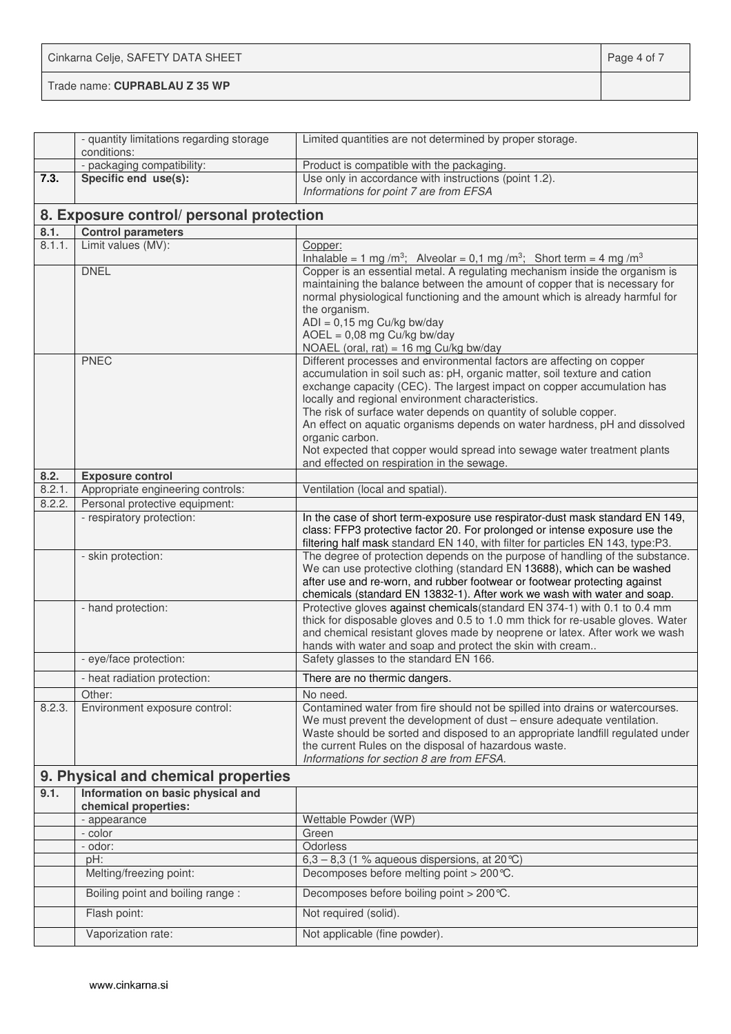| Cinkarna Celje, SAFETY DATA SHEET | Page 4 of 7 |
|-----------------------------------|-------------|
| Trade name: CUPRABLAU Z 35 WP     |             |

|        | - quantity limitations regarding storage<br>conditions: | Limited quantities are not determined by proper storage.                                                                                                                                                                                                                                                                                                                                                                                                                                                                                                                         |
|--------|---------------------------------------------------------|----------------------------------------------------------------------------------------------------------------------------------------------------------------------------------------------------------------------------------------------------------------------------------------------------------------------------------------------------------------------------------------------------------------------------------------------------------------------------------------------------------------------------------------------------------------------------------|
|        | - packaging compatibility:                              | Product is compatible with the packaging.                                                                                                                                                                                                                                                                                                                                                                                                                                                                                                                                        |
| 7.3.   | Specific end use(s):                                    | Use only in accordance with instructions (point 1.2).                                                                                                                                                                                                                                                                                                                                                                                                                                                                                                                            |
|        |                                                         | Informations for point 7 are from EFSA                                                                                                                                                                                                                                                                                                                                                                                                                                                                                                                                           |
|        | 8. Exposure control/ personal protection                |                                                                                                                                                                                                                                                                                                                                                                                                                                                                                                                                                                                  |
| 8.1.   | <b>Control parameters</b>                               |                                                                                                                                                                                                                                                                                                                                                                                                                                                                                                                                                                                  |
| 8.1.1. | Limit values (MV):                                      | Copper:<br>Inhalable = $1 \text{ mg/m}^3$ ; Alveolar = 0,1 mg /m <sup>3</sup> ; Short term = 4 mg /m <sup>3</sup>                                                                                                                                                                                                                                                                                                                                                                                                                                                                |
|        | <b>DNEL</b>                                             | Copper is an essential metal. A regulating mechanism inside the organism is<br>maintaining the balance between the amount of copper that is necessary for<br>normal physiological functioning and the amount which is already harmful for<br>the organism.<br>$ADI = 0,15$ mg Cu/kg bw/day<br>$AOEL = 0,08$ mg Cu/kg bw/day<br>NOAEL (oral, rat) = 16 mg Cu/kg bw/day                                                                                                                                                                                                            |
|        | <b>PNEC</b>                                             | Different processes and environmental factors are affecting on copper<br>accumulation in soil such as: pH, organic matter, soil texture and cation<br>exchange capacity (CEC). The largest impact on copper accumulation has<br>locally and regional environment characteristics.<br>The risk of surface water depends on quantity of soluble copper.<br>An effect on aquatic organisms depends on water hardness, pH and dissolved<br>organic carbon.<br>Not expected that copper would spread into sewage water treatment plants<br>and effected on respiration in the sewage. |
| 8.2.   | <b>Exposure control</b>                                 |                                                                                                                                                                                                                                                                                                                                                                                                                                                                                                                                                                                  |
| 8.2.1. | Appropriate engineering controls:                       | Ventilation (local and spatial).                                                                                                                                                                                                                                                                                                                                                                                                                                                                                                                                                 |
| 8.2.2. | Personal protective equipment:                          |                                                                                                                                                                                                                                                                                                                                                                                                                                                                                                                                                                                  |
|        | - respiratory protection:                               | In the case of short term-exposure use respirator-dust mask standard EN 149,<br>class: FFP3 protective factor 20. For prolonged or intense exposure use the<br>filtering half mask standard EN 140, with filter for particles EN 143, type:P3.                                                                                                                                                                                                                                                                                                                                   |
|        | - skin protection:                                      | The degree of protection depends on the purpose of handling of the substance.<br>We can use protective clothing (standard EN 13688), which can be washed<br>after use and re-worn, and rubber footwear or footwear protecting against<br>chemicals (standard EN 13832-1). After work we wash with water and soap.                                                                                                                                                                                                                                                                |
|        | - hand protection:                                      | Protective gloves against chemicals (standard EN 374-1) with 0.1 to 0.4 mm<br>thick for disposable gloves and 0.5 to 1.0 mm thick for re-usable gloves. Water<br>and chemical resistant gloves made by neoprene or latex. After work we wash<br>hands with water and soap and protect the skin with cream                                                                                                                                                                                                                                                                        |
|        | - eye/face protection:                                  | Safety glasses to the standard EN 166.                                                                                                                                                                                                                                                                                                                                                                                                                                                                                                                                           |
|        | - heat radiation protection:                            | There are no thermic dangers.                                                                                                                                                                                                                                                                                                                                                                                                                                                                                                                                                    |
|        | Other:                                                  | No need.                                                                                                                                                                                                                                                                                                                                                                                                                                                                                                                                                                         |
| 8.2.3. | Environment exposure control:                           | Contamined water from fire should not be spilled into drains or watercourses.<br>We must prevent the development of dust - ensure adequate ventilation.<br>Waste should be sorted and disposed to an appropriate landfill regulated under<br>the current Rules on the disposal of hazardous waste.<br>Informations for section 8 are from EFSA.                                                                                                                                                                                                                                  |
|        | 9. Physical and chemical properties                     |                                                                                                                                                                                                                                                                                                                                                                                                                                                                                                                                                                                  |
| 9.1.   | Information on basic physical and                       |                                                                                                                                                                                                                                                                                                                                                                                                                                                                                                                                                                                  |
|        | chemical properties:                                    |                                                                                                                                                                                                                                                                                                                                                                                                                                                                                                                                                                                  |
|        | - appearance                                            | Wettable Powder (WP)                                                                                                                                                                                                                                                                                                                                                                                                                                                                                                                                                             |
|        | - color                                                 | Green                                                                                                                                                                                                                                                                                                                                                                                                                                                                                                                                                                            |
|        | - odor:                                                 | Odorless                                                                                                                                                                                                                                                                                                                                                                                                                                                                                                                                                                         |
|        | pH:                                                     | 6,3 – 8,3 (1 % aqueous dispersions, at 20 °C)                                                                                                                                                                                                                                                                                                                                                                                                                                                                                                                                    |
|        | Melting/freezing point:                                 | Decomposes before melting point > 200 ℃.                                                                                                                                                                                                                                                                                                                                                                                                                                                                                                                                         |
|        | Boiling point and boiling range :                       | Decomposes before boiling point > 200 ℃.                                                                                                                                                                                                                                                                                                                                                                                                                                                                                                                                         |
|        | Flash point:                                            | Not required (solid).                                                                                                                                                                                                                                                                                                                                                                                                                                                                                                                                                            |
|        | Vaporization rate:                                      | Not applicable (fine powder).                                                                                                                                                                                                                                                                                                                                                                                                                                                                                                                                                    |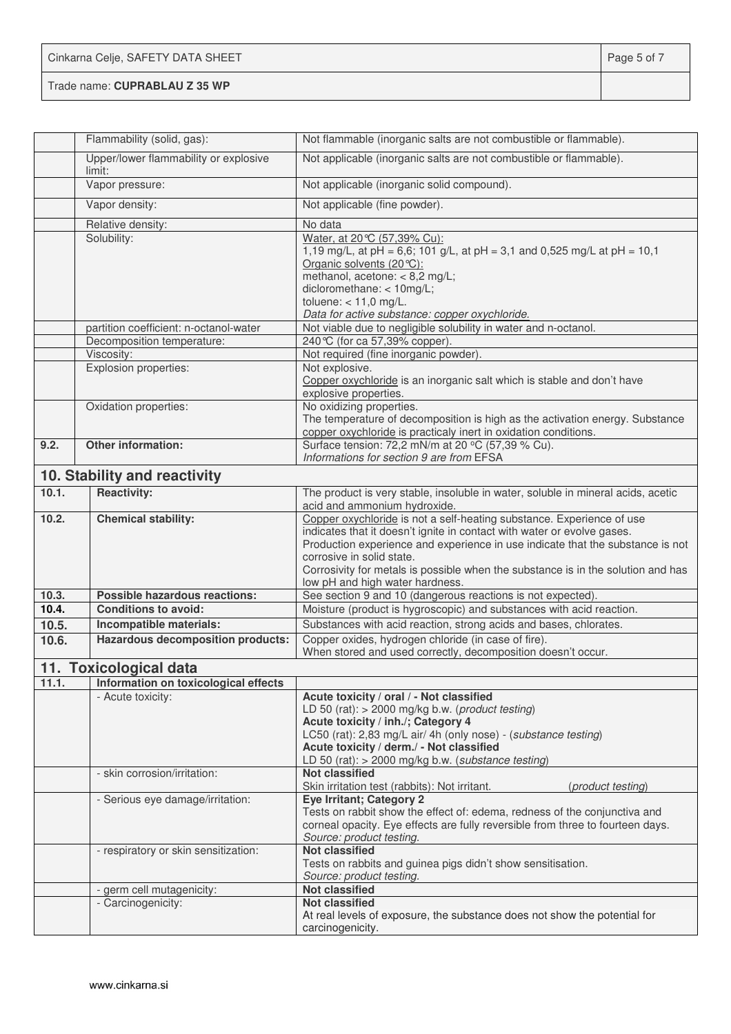| Cinkarna Celje, SAFETY DATA SHEET | Page 5 of 7 |
|-----------------------------------|-------------|
| Trade name: CUPRABLAU Z 35 WP     |             |

|       | Flammability (solid, gas):                      | Not flammable (inorganic salts are not combustible or flammable).                                                                                                                                                                                                                                                                                                                      |
|-------|-------------------------------------------------|----------------------------------------------------------------------------------------------------------------------------------------------------------------------------------------------------------------------------------------------------------------------------------------------------------------------------------------------------------------------------------------|
|       | Upper/lower flammability or explosive<br>limit: | Not applicable (inorganic salts are not combustible or flammable).                                                                                                                                                                                                                                                                                                                     |
|       | Vapor pressure:                                 | Not applicable (inorganic solid compound).                                                                                                                                                                                                                                                                                                                                             |
|       | Vapor density:                                  | Not applicable (fine powder).                                                                                                                                                                                                                                                                                                                                                          |
|       | Relative density:                               | No data                                                                                                                                                                                                                                                                                                                                                                                |
|       | Solubility:                                     | Water, at 20 ℃ (57,39% Cu):<br>1,19 mg/L, at pH = 6,6; 101 g/L, at pH = 3,1 and 0,525 mg/L at pH = 10,1<br>Organic solvents (20 °C):<br>methanol, acetone: < 8,2 mg/L;<br>dicloromethane: < 10mg/L;<br>toluene: $< 11,0$ mg/L.<br>Data for active substance: copper oxychloride.                                                                                                       |
|       | partition coefficient: n-octanol-water          | Not viable due to negligible solubility in water and n-octanol.                                                                                                                                                                                                                                                                                                                        |
|       | Decomposition temperature:                      | 240 °C (for ca 57,39% copper).                                                                                                                                                                                                                                                                                                                                                         |
|       | Viscosity:                                      | Not required (fine inorganic powder).                                                                                                                                                                                                                                                                                                                                                  |
|       | Explosion properties:                           | Not explosive.<br>Copper oxychloride is an inorganic salt which is stable and don't have<br>explosive properties.                                                                                                                                                                                                                                                                      |
|       | Oxidation properties:                           | No oxidizing properties.<br>The temperature of decomposition is high as the activation energy. Substance<br>copper oxychloride is practicaly inert in oxidation conditions.                                                                                                                                                                                                            |
| 9.2.  | <b>Other information:</b>                       | Surface tension: 72,2 mN/m at 20 °C (57,39 % Cu).<br>Informations for section 9 are from EFSA                                                                                                                                                                                                                                                                                          |
|       | 10. Stability and reactivity                    |                                                                                                                                                                                                                                                                                                                                                                                        |
| 10.1. | <b>Reactivity:</b>                              | The product is very stable, insoluble in water, soluble in mineral acids, acetic<br>acid and ammonium hydroxide.                                                                                                                                                                                                                                                                       |
| 10.2. | <b>Chemical stability:</b>                      | Copper oxychloride is not a self-heating substance. Experience of use<br>indicates that it doesn't ignite in contact with water or evolve gases.<br>Production experience and experience in use indicate that the substance is not<br>corrosive in solid state.<br>Corrosivity for metals is possible when the substance is in the solution and has<br>low pH and high water hardness. |
| 10.3. | <b>Possible hazardous reactions:</b>            | See section 9 and 10 (dangerous reactions is not expected).                                                                                                                                                                                                                                                                                                                            |
| 10.4. | <b>Conditions to avoid:</b>                     | Moisture (product is hygroscopic) and substances with acid reaction.                                                                                                                                                                                                                                                                                                                   |
| 10.5. | Incompatible materials:                         | Substances with acid reaction, strong acids and bases, chlorates.                                                                                                                                                                                                                                                                                                                      |
| 10.6. | <b>Hazardous decomposition products:</b>        | Copper oxides, hydrogen chloride (in case of fire).                                                                                                                                                                                                                                                                                                                                    |
|       | 11. Toxicological data                          | When stored and used correctly, decomposition doesn't occur.                                                                                                                                                                                                                                                                                                                           |
| 11.1. | Information on toxicological effects            |                                                                                                                                                                                                                                                                                                                                                                                        |
|       | - Acute toxicity:                               | Acute toxicity / oral / - Not classified                                                                                                                                                                                                                                                                                                                                               |
|       |                                                 | LD 50 (rat): > 2000 mg/kg b.w. (product testing)<br>Acute toxicity / inh./; Category 4<br>LC50 (rat): 2,83 mg/L air/ 4h (only nose) - (substance testing)<br>Acute toxicity / derm./ - Not classified<br>LD 50 (rat): > 2000 mg/kg b.w. (substance testing)                                                                                                                            |
|       | - skin corrosion/irritation:                    | <b>Not classified</b><br>Skin irritation test (rabbits): Not irritant.<br>(product testing)                                                                                                                                                                                                                                                                                            |
|       | - Serious eye damage/irritation:                | <b>Eye Irritant; Category 2</b><br>Tests on rabbit show the effect of: edema, redness of the conjunctiva and<br>corneal opacity. Eye effects are fully reversible from three to fourteen days.<br>Source: product testing.                                                                                                                                                             |
|       | - respiratory or skin sensitization:            | <b>Not classified</b><br>Tests on rabbits and guinea pigs didn't show sensitisation.<br>Source: product testing.                                                                                                                                                                                                                                                                       |
|       | - germ cell mutagenicity:                       | <b>Not classified</b>                                                                                                                                                                                                                                                                                                                                                                  |
|       | - Carcinogenicity:                              | <b>Not classified</b><br>At real levels of exposure, the substance does not show the potential for<br>carcinogenicity.                                                                                                                                                                                                                                                                 |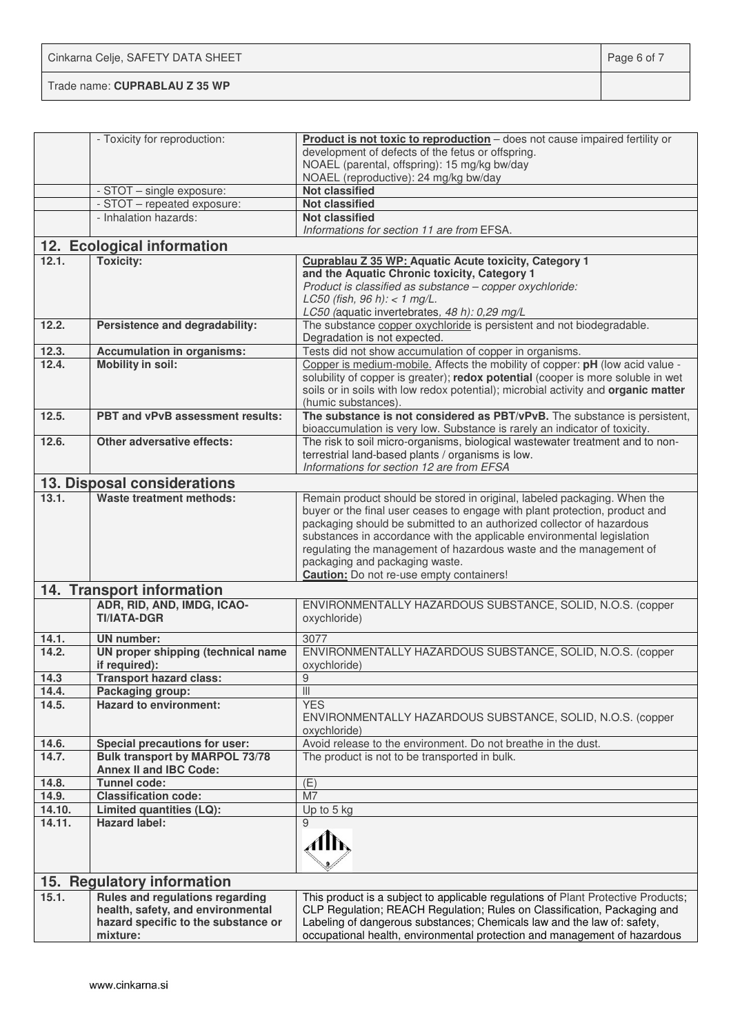Cinkarna Celje, SAFETY DATA SHEET **Page 6 of 7** and 2011 12 and 2012 12 and 2012 12 and 2012 12 and 2012 12 and 201

Trade name: **CUPRABLAU Z 35 WP**

|        | - Toxicity for reproduction:                     | Product is not toxic to reproduction - does not cause impaired fertility or<br>development of defects of the fetus or offspring.                                                              |
|--------|--------------------------------------------------|-----------------------------------------------------------------------------------------------------------------------------------------------------------------------------------------------|
|        |                                                  | NOAEL (parental, offspring): 15 mg/kg bw/day<br>NOAEL (reproductive): 24 mg/kg bw/day                                                                                                         |
|        | - STOT - single exposure:                        | <b>Not classified</b>                                                                                                                                                                         |
|        | - STOT - repeated exposure:                      | <b>Not classified</b>                                                                                                                                                                         |
|        | - Inhalation hazards:                            | <b>Not classified</b><br>Informations for section 11 are from EFSA.                                                                                                                           |
|        | 12. Ecological information                       |                                                                                                                                                                                               |
| 12.1.  | <b>Toxicity:</b>                                 | Cuprablau Z 35 WP: Aquatic Acute toxicity, Category 1                                                                                                                                         |
|        |                                                  | and the Aquatic Chronic toxicity, Category 1                                                                                                                                                  |
|        |                                                  | Product is classified as substance - copper oxychloride:                                                                                                                                      |
|        |                                                  | LC50 (fish, 96 h): < 1 mg/L.                                                                                                                                                                  |
|        |                                                  | LC50 (aquatic invertebrates, 48 h): 0,29 mg/L                                                                                                                                                 |
| 12.2.  | Persistence and degradability:                   | The substance copper oxychloride is persistent and not biodegradable.<br>Degradation is not expected.                                                                                         |
| 12.3.  | <b>Accumulation in organisms:</b>                | Tests did not show accumulation of copper in organisms.                                                                                                                                       |
| 12.4.  | <b>Mobility in soil:</b>                         | Copper is medium-mobile. Affects the mobility of copper: pH (low acid value -                                                                                                                 |
|        |                                                  | solubility of copper is greater); redox potential (cooper is more soluble in wet<br>soils or in soils with low redox potential); microbial activity and organic matter<br>(humic substances). |
| 12.5.  | PBT and vPvB assessment results:                 | The substance is not considered as PBT/vPvB. The substance is persistent,                                                                                                                     |
|        |                                                  | bioaccumulation is very low. Substance is rarely an indicator of toxicity.                                                                                                                    |
| 12.6.  | Other adversative effects:                       | The risk to soil micro-organisms, biological wastewater treatment and to non-                                                                                                                 |
|        |                                                  | terrestrial land-based plants / organisms is low.                                                                                                                                             |
|        |                                                  | Informations for section 12 are from EFSA                                                                                                                                                     |
|        | 13. Disposal considerations                      |                                                                                                                                                                                               |
| 13.1.  | <b>Waste treatment methods:</b>                  | Remain product should be stored in original, labeled packaging. When the                                                                                                                      |
|        |                                                  | buyer or the final user ceases to engage with plant protection, product and<br>packaging should be submitted to an authorized collector of hazardous                                          |
|        |                                                  | substances in accordance with the applicable environmental legislation                                                                                                                        |
|        |                                                  | regulating the management of hazardous waste and the management of                                                                                                                            |
|        |                                                  | packaging and packaging waste.                                                                                                                                                                |
|        |                                                  | <b>Caution:</b> Do not re-use empty containers!                                                                                                                                               |
|        | 14. Transport information                        |                                                                                                                                                                                               |
|        | ADR, RID, AND, IMDG, ICAO-<br><b>TI/IATA-DGR</b> | ENVIRONMENTALLY HAZARDOUS SUBSTANCE, SOLID, N.O.S. (copper<br>oxychloride)                                                                                                                    |
| 14.1.  | <b>UN number:</b>                                | 3077                                                                                                                                                                                          |
| 14.2.  | UN proper shipping (technical name               | ENVIRONMENTALLY HAZARDOUS SUBSTANCE, SOLID, N.O.S. (copper                                                                                                                                    |
|        | if required):                                    | oxychloride)                                                                                                                                                                                  |
| 14.3   | <b>Transport hazard class:</b>                   | $\overline{9}$                                                                                                                                                                                |
| 14.4.  | Packaging group:                                 | $\ensuremath{\left\vert \right\vert }\xspace$                                                                                                                                                 |
| 14.5.  | <b>Hazard to environment:</b>                    | <b>YES</b>                                                                                                                                                                                    |
|        |                                                  | ENVIRONMENTALLY HAZARDOUS SUBSTANCE, SOLID, N.O.S. (copper<br>oxychloride)                                                                                                                    |
| 14.6.  | Special precautions for user:                    | Avoid release to the environment. Do not breathe in the dust.                                                                                                                                 |
| 14.7.  | <b>Bulk transport by MARPOL 73/78</b>            | The product is not to be transported in bulk.                                                                                                                                                 |
|        | <b>Annex II and IBC Code:</b>                    |                                                                                                                                                                                               |
| 14.8.  | <b>Tunnel code:</b>                              | (E)                                                                                                                                                                                           |
| 14.9.  | <b>Classification code:</b>                      | M7                                                                                                                                                                                            |
| 14.10. | Limited quantities (LQ):<br><b>Hazard label:</b> | Up to 5 kg                                                                                                                                                                                    |
| 14.11. |                                                  | 9                                                                                                                                                                                             |
|        |                                                  | Alb                                                                                                                                                                                           |
|        |                                                  |                                                                                                                                                                                               |
|        | 15. Regulatory information                       |                                                                                                                                                                                               |
| 15.1.  | Rules and regulations regarding                  | This product is a subject to applicable regulations of Plant Protective Products;                                                                                                             |
|        | health, safety, and environmental                | CLP Regulation; REACH Regulation; Rules on Classification, Packaging and                                                                                                                      |
|        | hazard specific to the substance or              | Labeling of dangerous substances; Chemicals law and the law of: safety,                                                                                                                       |
|        | mixture:                                         | occupational health, environmental protection and management of hazardous                                                                                                                     |
|        |                                                  |                                                                                                                                                                                               |